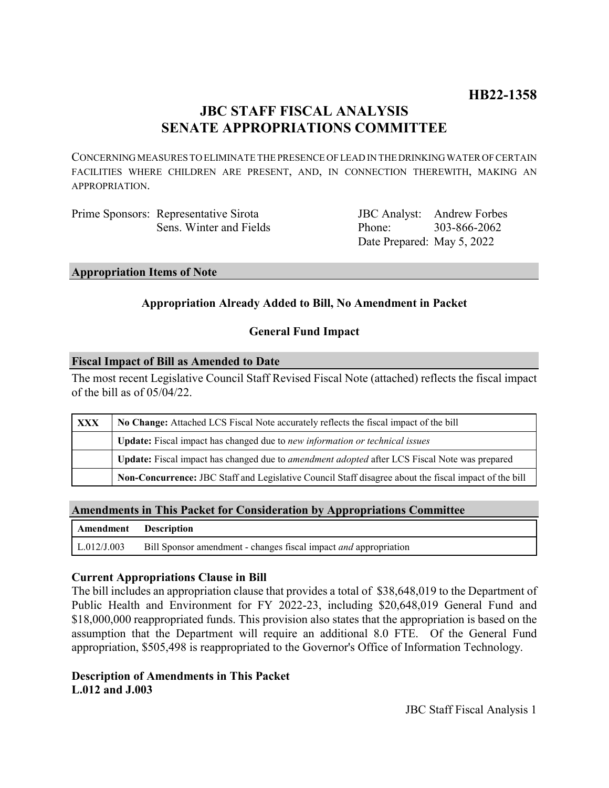# **JBC STAFF FISCAL ANALYSIS SENATE APPROPRIATIONS COMMITTEE**

CONCERNING MEASURES TO ELIMINATE THE PRESENCE OF LEAD IN THE DRINKING WATER OF CERTAIN FACILITIES WHERE CHILDREN ARE PRESENT, AND, IN CONNECTION THEREWITH, MAKING AN APPROPRIATION.

| Prime Sponsors: Representative Sirota |
|---------------------------------------|
| Sens. Winter and Fields               |

JBC Analyst: Andrew Forbes Phone: Date Prepared: May 5, 2022 303-866-2062

#### **Appropriation Items of Note**

# **Appropriation Already Added to Bill, No Amendment in Packet**

# **General Fund Impact**

#### **Fiscal Impact of Bill as Amended to Date**

The most recent Legislative Council Staff Revised Fiscal Note (attached) reflects the fiscal impact of the bill as of 05/04/22.

| XXX | No Change: Attached LCS Fiscal Note accurately reflects the fiscal impact of the bill                       |  |
|-----|-------------------------------------------------------------------------------------------------------------|--|
|     | Update: Fiscal impact has changed due to new information or technical issues                                |  |
|     | <b>Update:</b> Fiscal impact has changed due to <i>amendment adopted</i> after LCS Fiscal Note was prepared |  |
|     | Non-Concurrence: JBC Staff and Legislative Council Staff disagree about the fiscal impact of the bill       |  |

### **Amendments in This Packet for Consideration by Appropriations Committee**

| Amendment Description |                                                                         |
|-----------------------|-------------------------------------------------------------------------|
| $\mid$ L.012/J.003    | Bill Sponsor amendment - changes fiscal impact <i>and</i> appropriation |

### **Current Appropriations Clause in Bill**

The bill includes an appropriation clause that provides a total of \$38,648,019 to the Department of Public Health and Environment for FY 2022-23, including \$20,648,019 General Fund and \$18,000,000 reappropriated funds. This provision also states that the appropriation is based on the assumption that the Department will require an additional 8.0 FTE. Of the General Fund appropriation, \$505,498 is reappropriated to the Governor's Office of Information Technology.

# **Description of Amendments in This Packet L.012 and J.003**